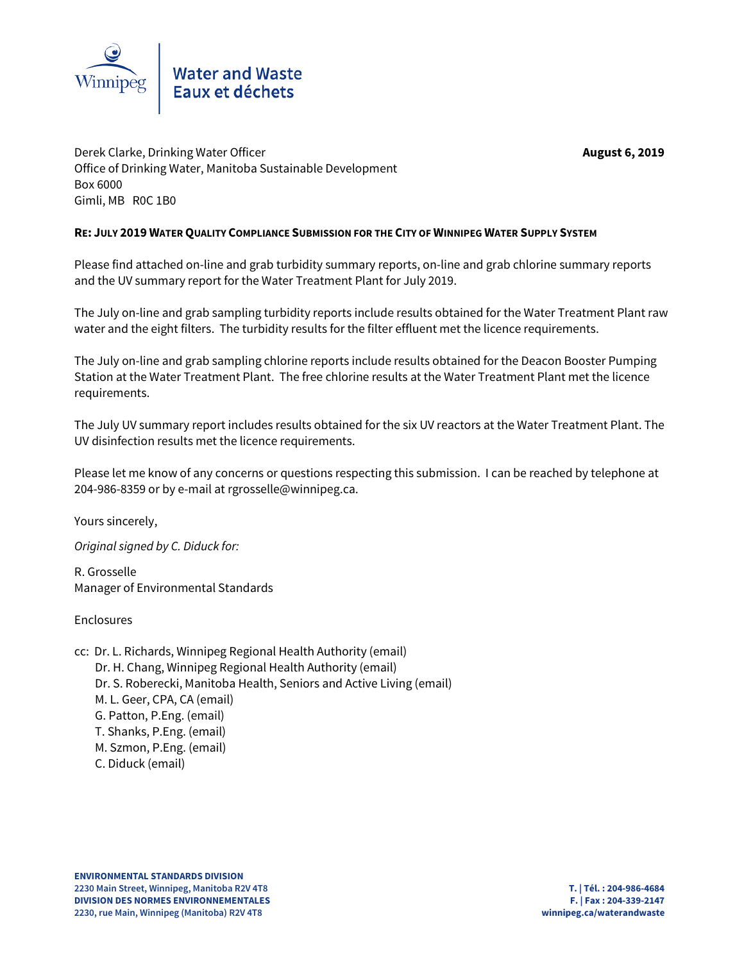

# Water and Waste<br>Eaux et déchets

Derek Clarke, Drinking Water Officer **August 6, 2019** Office of Drinking Water, Manitoba Sustainable Development Box 6000 Gimli, MB R0C 1B0

## **RE: JULY 2019 WATER QUALITY COMPLIANCE SUBMISSION FOR THE CITY OF WINNIPEG WATER SUPPLY SYSTEM**

Please find attached on-line and grab turbidity summary reports, on-line and grab chlorine summary reports and the UV summary report for the Water Treatment Plant for July 2019.

The July on-line and grab sampling turbidity reports include results obtained for the Water Treatment Plant raw water and the eight filters. The turbidity results for the filter effluent met the licence requirements.

The July on-line and grab sampling chlorine reports include results obtained for the Deacon Booster Pumping Station at the Water Treatment Plant. The free chlorine results at the Water Treatment Plant met the licence requirements.

The July UV summary report includes results obtained for the six UV reactors at the Water Treatment Plant. The UV disinfection results met the licence requirements.

Please let me know of any concerns or questions respecting this submission. I can be reached by telephone at 204-986-8359 or by e-mail at rgrosselle@winnipeg.ca.

Yours sincerely,

*Original signed by C. Diduck for:*

R. Grosselle Manager of Environmental Standards

Enclosures

cc: Dr. L. Richards, Winnipeg Regional Health Authority (email) Dr. H. Chang, Winnipeg Regional Health Authority (email) Dr. S. Roberecki, Manitoba Health, Seniors and Active Living (email) M. L. Geer, CPA, CA (email) G. Patton, P.Eng. (email) T. Shanks, P.Eng. (email) M. Szmon, P.Eng. (email) C. Diduck (email)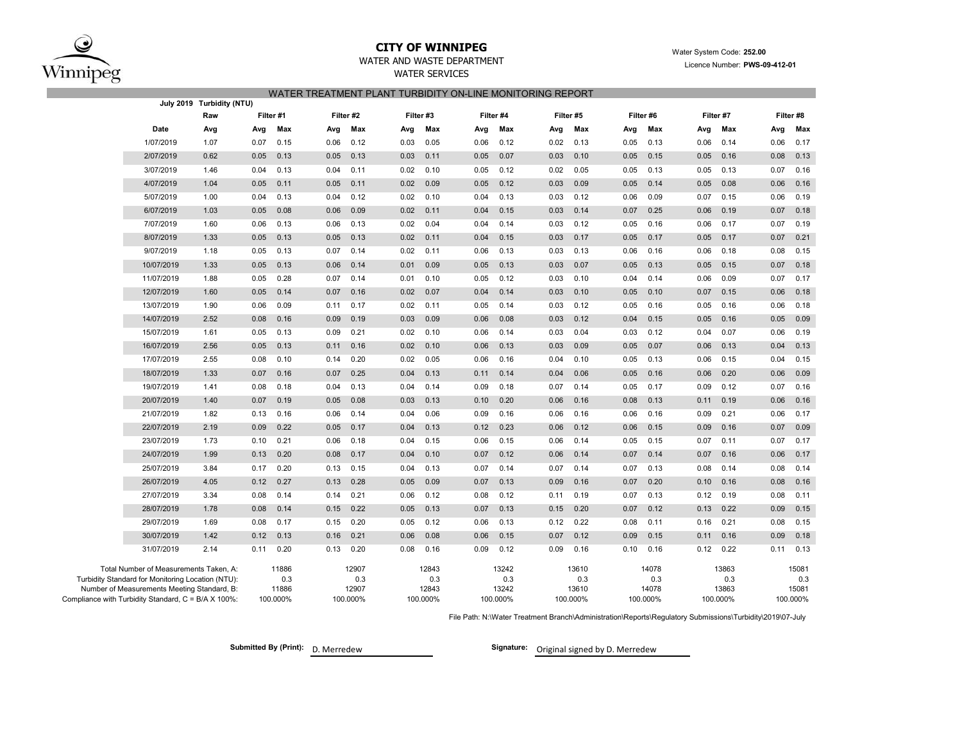

## **CITY OF WINNIPEG**

## WATER AND WASTE DEPARTMENT

WATER SERVICES

#### Water System Code: **252.00** Licence Number: **PWS-09-412-01**

| WATER TREATMENT PLANT TURBIDITY ON-LINE MONITORING REPORT |  |  |
|-----------------------------------------------------------|--|--|
|                                                           |  |  |

|                                                                                                  | July 2019 Turbidity (NTU) |           |              |      |              |           |              |      |              |      |              |      |              |      |              |      |              |
|--------------------------------------------------------------------------------------------------|---------------------------|-----------|--------------|------|--------------|-----------|--------------|------|--------------|------|--------------|------|--------------|------|--------------|------|--------------|
|                                                                                                  | Raw                       | Filter #1 |              |      | Filter #2    | Filter #3 |              |      | Filter #4    |      | Filter #5    |      | Filter #6    |      | Filter #7    |      | Filter #8    |
| Date                                                                                             | Avg                       | Avg       | Max          | Avg  | Max          | Avg       | Max          | Avg  | Max          | Avg  | Max          | Avg  | Max          | Avg  | Max          | Avg  | Max          |
| 1/07/2019                                                                                        | 1.07                      | 0.07      | 0.15         | 0.06 | 0.12         | 0.03      | 0.05         | 0.06 | 0.12         | 0.02 | 0.13         | 0.05 | 0.13         | 0.06 | 0.14         | 0.06 | 0.17         |
| 2/07/2019                                                                                        | 0.62                      | 0.05      | 0.13         | 0.05 | 0.13         | 0.03      | 0.11         | 0.05 | 0.07         | 0.03 | 0.10         | 0.05 | 0.15         | 0.05 | 0.16         | 0.08 | 0.13         |
| 3/07/2019                                                                                        | 1.46                      | 0.04      | 0.13         | 0.04 | 0.11         | 0.02      | 0.10         | 0.05 | 0.12         | 0.02 | 0.05         | 0.05 | 0.13         | 0.05 | 0.13         | 0.07 | 0.16         |
| 4/07/2019                                                                                        | 1.04                      | 0.05      | 0.11         | 0.05 | 0.11         | 0.02      | 0.09         | 0.05 | 0.12         | 0.03 | 0.09         | 0.05 | 0.14         | 0.05 | 0.08         | 0.06 | 0.16         |
| 5/07/2019                                                                                        | 1.00                      | 0.04      | 0.13         | 0.04 | 0.12         | 0.02      | 0.10         | 0.04 | 0.13         | 0.03 | 0.12         | 0.06 | 0.09         | 0.07 | 0.15         | 0.06 | 0.19         |
| 6/07/2019                                                                                        | 1.03                      | 0.05      | 0.08         | 0.06 | 0.09         | 0.02      | 0.11         | 0.04 | 0.15         | 0.03 | 0.14         | 0.07 | 0.25         | 0.06 | 0.19         | 0.07 | 0.18         |
| 7/07/2019                                                                                        | 1.60                      | 0.06      | 0.13         | 0.06 | 0.13         | 0.02      | 0.04         | 0.04 | 0.14         | 0.03 | 0.12         | 0.05 | 0.16         | 0.06 | 0.17         | 0.07 | 0.19         |
| 8/07/2019                                                                                        | 1.33                      | 0.05      | 0.13         | 0.05 | 0.13         | 0.02      | 0.11         | 0.04 | 0.15         | 0.03 | 0.17         | 0.05 | 0.17         | 0.05 | 0.17         | 0.07 | 0.21         |
| 9/07/2019                                                                                        | 1.18                      | 0.05      | 0.13         | 0.07 | 0.14         | 0.02      | 0.11         | 0.06 | 0.13         | 0.03 | 0.13         | 0.06 | 0.16         | 0.06 | 0.18         | 0.08 | 0.15         |
| 10/07/2019                                                                                       | 1.33                      | 0.05      | 0.13         | 0.06 | 0.14         | 0.01      | 0.09         | 0.05 | 0.13         | 0.03 | 0.07         | 0.05 | 0.13         | 0.05 | 0.15         | 0.07 | 0.18         |
| 11/07/2019                                                                                       | 1.88                      | 0.05      | 0.28         | 0.07 | 0.14         | 0.01      | 0.10         | 0.05 | 0.12         | 0.03 | 0.10         | 0.04 | 0.14         | 0.06 | 0.09         | 0.07 | 0.17         |
| 12/07/2019                                                                                       | 1.60                      | 0.05      | 0.14         | 0.07 | 0.16         | 0.02      | 0.07         | 0.04 | 0.14         | 0.03 | 0.10         | 0.05 | 0.10         | 0.07 | 0.15         | 0.06 | 0.18         |
| 13/07/2019                                                                                       | 1.90                      | 0.06      | 0.09         | 0.11 | 0.17         | 0.02      | 0.11         | 0.05 | 0.14         | 0.03 | 0.12         | 0.05 | 0.16         | 0.05 | 0.16         | 0.06 | 0.18         |
| 14/07/2019                                                                                       | 2.52                      | 0.08      | 0.16         | 0.09 | 0.19         | 0.03      | 0.09         | 0.06 | 0.08         | 0.03 | 0.12         | 0.04 | 0.15         | 0.05 | 0.16         | 0.05 | 0.09         |
| 15/07/2019                                                                                       | 1.61                      | 0.05      | 0.13         | 0.09 | 0.21         | 0.02      | 0.10         | 0.06 | 0.14         | 0.03 | 0.04         | 0.03 | 0.12         | 0.04 | 0.07         | 0.06 | 0.19         |
| 16/07/2019                                                                                       | 2.56                      | 0.05      | 0.13         | 0.11 | 0.16         | 0.02      | 0.10         | 0.06 | 0.13         | 0.03 | 0.09         | 0.05 | 0.07         | 0.06 | 0.13         | 0.04 | 0.13         |
| 17/07/2019                                                                                       | 2.55                      | 0.08      | 0.10         | 0.14 | 0.20         | 0.02      | 0.05         | 0.06 | 0.16         | 0.04 | 0.10         | 0.05 | 0.13         | 0.06 | 0.15         | 0.04 | 0.15         |
| 18/07/2019                                                                                       | 1.33                      | 0.07      | 0.16         | 0.07 | 0.25         | 0.04      | 0.13         | 0.11 | 0.14         | 0.04 | 0.06         | 0.05 | 0.16         | 0.06 | 0.20         | 0.06 | 0.09         |
| 19/07/2019                                                                                       | 1.41                      | 0.08      | 0.18         | 0.04 | 0.13         | 0.04      | 0.14         | 0.09 | 0.18         | 0.07 | 0.14         | 0.05 | 0.17         | 0.09 | 0.12         | 0.07 | 0.16         |
| 20/07/2019                                                                                       | 1.40                      | 0.07      | 0.19         | 0.05 | 0.08         | 0.03      | 0.13         | 0.10 | 0.20         | 0.06 | 0.16         | 0.08 | 0.13         | 0.11 | 0.19         | 0.06 | 0.16         |
| 21/07/2019                                                                                       | 1.82                      | 0.13      | 0.16         | 0.06 | 0.14         | 0.04      | 0.06         | 0.09 | 0.16         | 0.06 | 0.16         | 0.06 | 0.16         | 0.09 | 0.21         | 0.06 | 0.17         |
| 22/07/2019                                                                                       | 2.19                      | 0.09      | 0.22         | 0.05 | 0.17         | 0.04      | 0.13         | 0.12 | 0.23         | 0.06 | 0.12         | 0.06 | 0.15         | 0.09 | 0.16         | 0.07 | 0.09         |
| 23/07/2019                                                                                       | 1.73                      | 0.10      | 0.21         | 0.06 | 0.18         | 0.04      | 0.15         | 0.06 | 0.15         | 0.06 | 0.14         | 0.05 | 0.15         | 0.07 | 0.11         | 0.07 | 0.17         |
| 24/07/2019                                                                                       | 1.99                      | 0.13      | 0.20         | 0.08 | 0.17         | 0.04      | 0.10         | 0.07 | 0.12         | 0.06 | 0.14         | 0.07 | 0.14         | 0.07 | 0.16         | 0.06 | 0.17         |
| 25/07/2019                                                                                       | 3.84                      | 0.17      | 0.20         | 0.13 | 0.15         | 0.04      | 0.13         | 0.07 | 0.14         | 0.07 | 0.14         | 0.07 | 0.13         | 0.08 | 0.14         | 0.08 | 0.14         |
| 26/07/2019                                                                                       | 4.05                      | 0.12      | 0.27         | 0.13 | 0.28         | 0.05      | 0.09         | 0.07 | 0.13         | 0.09 | 0.16         | 0.07 | 0.20         | 0.10 | 0.16         | 0.08 | 0.16         |
| 27/07/2019                                                                                       | 3.34                      | 0.08      | 0.14         | 0.14 | 0.21         | 0.06      | 0.12         | 0.08 | 0.12         | 0.11 | 0.19         | 0.07 | 0.13         | 0.12 | 0.19         | 0.08 | 0.11         |
| 28/07/2019                                                                                       | 1.78                      | 0.08      | 0.14         | 0.15 | 0.22         | 0.05      | 0.13         | 0.07 | 0.13         | 0.15 | 0.20         | 0.07 | 0.12         | 0.13 | 0.22         | 0.09 | 0.15         |
| 29/07/2019                                                                                       | 1.69                      | 0.08      | 0.17         | 0.15 | 0.20         | 0.05      | 0.12         | 0.06 | 0.13         | 0.12 | 0.22         | 0.08 | 0.11         | 0.16 | 0.21         | 0.08 | 0.15         |
| 30/07/2019                                                                                       | 1.42                      | 0.12      | 0.13         | 0.16 | 0.21         | 0.06      | 0.08         | 0.06 | 0.15         | 0.07 | 0.12         | 0.09 | 0.15         | 0.11 | 0.16         | 0.09 | 0.18         |
| 31/07/2019                                                                                       | 2.14                      | 0.11      | 0.20         | 0.13 | 0.20         | 0.08      | 0.16         | 0.09 | 0.12         | 0.09 | 0.16         | 0.10 | 0.16         | 0.12 | 0.22         | 0.11 | 0.13         |
| Total Number of Measurements Taken, A:                                                           |                           |           | 11886        |      | 12907        |           | 12843        |      | 13242        |      | 13610        |      | 14078        |      | 13863        |      | 15081        |
| Turbidity Standard for Monitoring Location (NTU):<br>Number of Measurements Meeting Standard, B: |                           |           | 0.3<br>11886 |      | 0.3<br>12907 |           | 0.3<br>12843 |      | 0.3<br>13242 |      | 0.3<br>13610 |      | 0.3<br>14078 |      | 0.3<br>13863 |      | 0.3<br>15081 |
| Compliance with Turbidity Standard, C = B/A X 100%:                                              |                           |           | 100.000%     |      | 100.000%     |           | 100.000%     |      | 100.000%     |      | 100.000%     |      | 100.000%     |      | 100.000%     |      | 100.000%     |

File Path: N:\Water Treatment Branch\Administration\Reports\Regulatory Submissions\Turbidity\2019\07-July

**Submitted By (Print): D. Merredew** 

Signature: Original signed by D. Merredew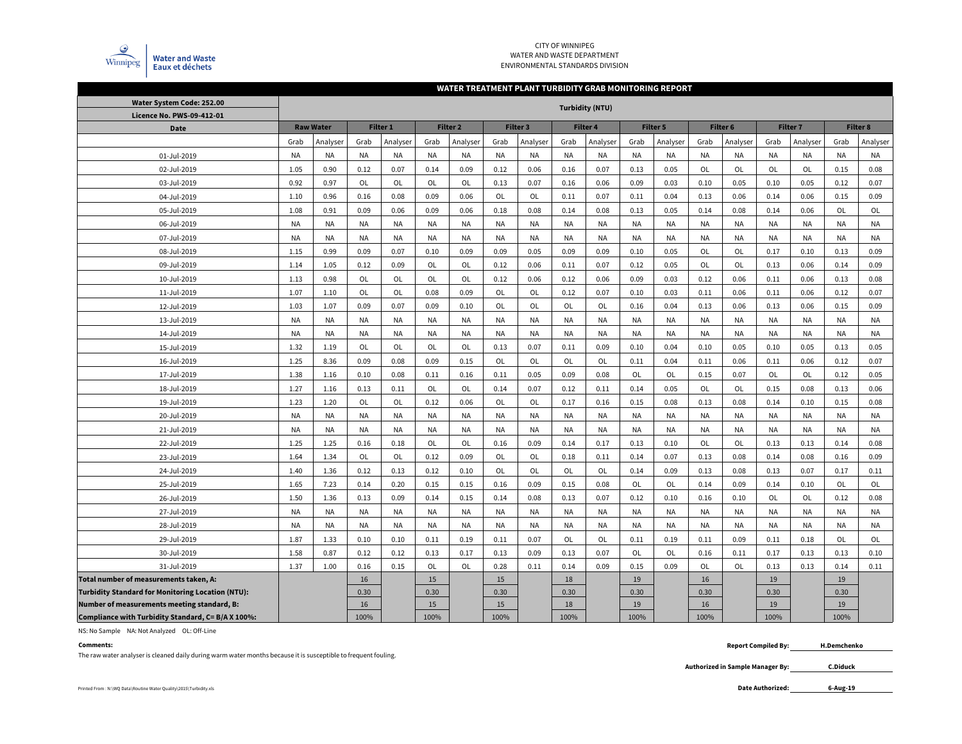

#### CITY OF WINNIPEG WATER AND WASTE DEPARTMENTENVIRONMENTAL STANDARDS DIVISION

#### **WATER TREATMENT PLANT TURBIDITY GRAB MONITORING REPORT**

| Water System Code: 252.00                                |           |                  |           |                 |           |                     |           |           | <b>Turbidity (NTU)</b> |           |           |           |           |           |           |                 |           |           |
|----------------------------------------------------------|-----------|------------------|-----------|-----------------|-----------|---------------------|-----------|-----------|------------------------|-----------|-----------|-----------|-----------|-----------|-----------|-----------------|-----------|-----------|
| Licence No. PWS-09-412-01                                |           |                  |           |                 |           |                     |           |           |                        |           |           |           |           |           |           |                 |           |           |
| Date                                                     |           | <b>Raw Water</b> |           | <b>Filter 1</b> |           | Filter <sub>2</sub> |           | Filter 3  |                        | Filter 4  |           | Filter 5  |           | Filter 6  |           | <b>Filter 7</b> |           | Filter 8  |
|                                                          | Grab      | Analyser         | Grab      | Analyser        | Grab      | Analyser            | Grab      | Analyser  | Grab                   | Analyser  | Grab      | Analyser  | Grab      | Analyser  | Grab      | Analyser        | Grab      | Analyser  |
| 01-Jul-2019                                              | <b>NA</b> | <b>NA</b>        | <b>NA</b> | <b>NA</b>       | <b>NA</b> | <b>NA</b>           | NA        | NA        | <b>NA</b>              | <b>NA</b> | <b>NA</b> | <b>NA</b> | <b>NA</b> | <b>NA</b> | <b>NA</b> | <b>NA</b>       | <b>NA</b> | <b>NA</b> |
| 02-Jul-2019                                              | 1.05      | 0.90             | 0.12      | 0.07            | 0.14      | 0.09                | 0.12      | 0.06      | 0.16                   | 0.07      | 0.13      | 0.05      | OL        | OL        | OL        | OL              | 0.15      | 0.08      |
| 03-Jul-2019                                              | 0.92      | 0.97             | OL        | OL              | OL        | OL                  | 0.13      | 0.07      | 0.16                   | 0.06      | 0.09      | 0.03      | 0.10      | 0.05      | 0.10      | 0.05            | 0.12      | 0.07      |
| 04-Jul-2019                                              | 1.10      | 0.96             | 0.16      | 0.08            | 0.09      | 0.06                | OL        | OL        | 0.11                   | 0.07      | 0.11      | 0.04      | 0.13      | 0.06      | 0.14      | 0.06            | 0.15      | 0.09      |
| 05-Jul-2019                                              | 1.08      | 0.91             | 0.09      | 0.06            | 0.09      | 0.06                | 0.18      | 0.08      | 0.14                   | 0.08      | 0.13      | 0.05      | 0.14      | 0.08      | 0.14      | 0.06            | OL        | OL        |
| 06-Jul-2019                                              | <b>NA</b> | <b>NA</b>        | <b>NA</b> | <b>NA</b>       | <b>NA</b> | <b>NA</b>           | <b>NA</b> | NA        | <b>NA</b>              | <b>NA</b> | <b>NA</b> | <b>NA</b> | NA        | <b>NA</b> | <b>NA</b> | <b>NA</b>       | <b>NA</b> | <b>NA</b> |
| 07-Jul-2019                                              | <b>NA</b> | <b>NA</b>        | <b>NA</b> | <b>NA</b>       | <b>NA</b> | <b>NA</b>           | <b>NA</b> | NA        | <b>NA</b>              | NA        | <b>NA</b> | <b>NA</b> | <b>NA</b> | <b>NA</b> | <b>NA</b> | NA              | <b>NA</b> | <b>NA</b> |
| 08-Jul-2019                                              | 1.15      | 0.99             | 0.09      | 0.07            | 0.10      | 0.09                | 0.09      | 0.05      | 0.09                   | 0.09      | 0.10      | 0.05      | OL        | <b>OL</b> | 0.17      | 0.10            | 0.13      | 0.09      |
| 09-Jul-2019                                              | 1.14      | 1.05             | 0.12      | 0.09            | OL        | OL                  | 0.12      | 0.06      | 0.11                   | 0.07      | 0.12      | 0.05      | OL        | OL        | 0.13      | 0.06            | 0.14      | 0.09      |
| 10-Jul-2019                                              | 1.13      | 0.98             | OL        | OL              | OL        | OL                  | 0.12      | 0.06      | 0.12                   | 0.06      | 0.09      | 0.03      | 0.12      | 0.06      | 0.11      | 0.06            | 0.13      | 0.08      |
| 11-Jul-2019                                              | 1.07      | 1.10             | OL        | <b>OL</b>       | 0.08      | 0.09                | <b>OL</b> | <b>OL</b> | 0.12                   | 0.07      | 0.10      | 0.03      | 0.11      | 0.06      | 0.11      | 0.06            | 0.12      | 0.07      |
| 12-Jul-2019                                              | 1.03      | 1.07             | 0.09      | 0.07            | 0.09      | 0.10                | OL        | <b>OL</b> | <b>OL</b>              | OL        | 0.16      | 0.04      | 0.13      | 0.06      | 0.13      | 0.06            | 0.15      | 0.09      |
| 13-Jul-2019                                              | <b>NA</b> | <b>NA</b>        | <b>NA</b> | <b>NA</b>       | <b>NA</b> | <b>NA</b>           | <b>NA</b> | NA        | <b>NA</b>              | <b>NA</b> | <b>NA</b> | <b>NA</b> | <b>NA</b> | <b>NA</b> | <b>NA</b> | <b>NA</b>       | <b>NA</b> | <b>NA</b> |
| 14-Jul-2019                                              | <b>NA</b> | <b>NA</b>        | <b>NA</b> | <b>NA</b>       | <b>NA</b> | <b>NA</b>           | <b>NA</b> | NA        | <b>NA</b>              | <b>NA</b> | <b>NA</b> | <b>NA</b> | <b>NA</b> | <b>NA</b> | <b>NA</b> | <b>NA</b>       | <b>NA</b> | <b>NA</b> |
| 15-Jul-2019                                              | 1.32      | 1.19             | OL        | OL              | OL        | OL                  | 0.13      | 0.07      | 0.11                   | 0.09      | 0.10      | 0.04      | 0.10      | 0.05      | 0.10      | 0.05            | 0.13      | 0.05      |
| 16-Jul-2019                                              | 1.25      | 8.36             | 0.09      | 0.08            | 0.09      | 0.15                | OL        | OL        | OL                     | OL        | 0.11      | 0.04      | 0.11      | 0.06      | 0.11      | 0.06            | 0.12      | 0.07      |
| 17-Jul-2019                                              | 1.38      | 1.16             | 0.10      | 0.08            | 0.11      | 0.16                | 0.11      | 0.05      | 0.09                   | 0.08      | OL        | OL        | 0.15      | 0.07      | OL        | OL              | 0.12      | 0.05      |
| 18-Jul-2019                                              | 1.27      | 1.16             | 0.13      | 0.11            | <b>OL</b> | OL                  | 0.14      | 0.07      | 0.12                   | 0.11      | 0.14      | 0.05      | OL        | OL        | 0.15      | 0.08            | 0.13      | 0.06      |
| 19-Jul-2019                                              | 1.23      | 1.20             | OL        | OL              | 0.12      | 0.06                | OL        | OL        | 0.17                   | 0.16      | 0.15      | 0.08      | 0.13      | 0.08      | 0.14      | 0.10            | 0.15      | 0.08      |
| 20-Jul-2019                                              | <b>NA</b> | <b>NA</b>        | NA        | <b>NA</b>       | <b>NA</b> | <b>NA</b>           | <b>NA</b> | NA        | <b>NA</b>              | <b>NA</b> | NA        | <b>NA</b> | <b>NA</b> | <b>NA</b> | <b>NA</b> | <b>NA</b>       | <b>NA</b> | <b>NA</b> |
| 21-Jul-2019                                              | <b>NA</b> | <b>NA</b>        | <b>NA</b> | <b>NA</b>       | <b>NA</b> | <b>NA</b>           | <b>NA</b> | NA        | <b>NA</b>              | <b>NA</b> | <b>NA</b> | <b>NA</b> | <b>NA</b> | <b>NA</b> | <b>NA</b> | NA              | <b>NA</b> | <b>NA</b> |
| 22-Jul-2019                                              | 1.25      | 1.25             | 0.16      | 0.18            | OL        | OL                  | 0.16      | 0.09      | 0.14                   | 0.17      | 0.13      | 0.10      | OL        | OL        | 0.13      | 0.13            | 0.14      | 0.08      |
| 23-Jul-2019                                              | 1.64      | 1.34             | OL        | OL              | 0.12      | 0.09                | OL        | OL        | 0.18                   | 0.11      | 0.14      | 0.07      | 0.13      | 0.08      | 0.14      | 0.08            | 0.16      | 0.09      |
| 24-Jul-2019                                              | 1.40      | 1.36             | 0.12      | 0.13            | 0.12      | 0.10                | OL        | OL        | <b>OL</b>              | OL        | 0.14      | 0.09      | 0.13      | 0.08      | 0.13      | 0.07            | 0.17      | 0.11      |
| 25-Jul-2019                                              | 1.65      | 7.23             | 0.14      | 0.20            | 0.15      | 0.15                | 0.16      | 0.09      | 0.15                   | 0.08      | <b>OL</b> | OL        | 0.14      | 0.09      | 0.14      | 0.10            | OL        | OL        |
| 26-Jul-2019                                              | 1.50      | 1.36             | 0.13      | 0.09            | 0.14      | 0.15                | 0.14      | 0.08      | 0.13                   | 0.07      | 0.12      | 0.10      | 0.16      | 0.10      | OL        | <b>OL</b>       | 0.12      | 0.08      |
| 27-Jul-2019                                              | <b>NA</b> | <b>NA</b>        | <b>NA</b> | <b>NA</b>       | <b>NA</b> | <b>NA</b>           | <b>NA</b> | <b>NA</b> | <b>NA</b>              | <b>NA</b> | <b>NA</b> | <b>NA</b> | <b>NA</b> | <b>NA</b> | <b>NA</b> | <b>NA</b>       | <b>NA</b> | <b>NA</b> |
| 28-Jul-2019                                              | <b>NA</b> | <b>NA</b>        | <b>NA</b> | <b>NA</b>       | <b>NA</b> | <b>NA</b>           | <b>NA</b> | NA        | <b>NA</b>              | <b>NA</b> | <b>NA</b> | <b>NA</b> | <b>NA</b> | <b>NA</b> | <b>NA</b> | <b>NA</b>       | <b>NA</b> | <b>NA</b> |
| 29-Jul-2019                                              | 1.87      | 1.33             | 0.10      | 0.10            | 0.11      | 0.19                | 0.11      | 0.07      | OL                     | OL        | 0.11      | 0.19      | 0.11      | 0.09      | 0.11      | 0.18            | OL        | OL        |
| 30-Jul-2019                                              | 1.58      | 0.87             | 0.12      | 0.12            | 0.13      | 0.17                | 0.13      | 0.09      | 0.13                   | 0.07      | OL        | OL        | 0.16      | 0.11      | 0.17      | 0.13            | 0.13      | 0.10      |
| 31-Jul-2019                                              | 1.37      | 1.00             | 0.16      | 0.15            | OL        | OL                  | 0.28      | 0.11      | 0.14                   | 0.09      | 0.15      | 0.09      | OL        | OL        | 0.13      | 0.13            | 0.14      | 0.11      |
| Total number of measurements taken, A:                   |           |                  | 16        |                 | 15        |                     | 15        |           | $18\,$                 |           | 19        |           | 16        |           | 19        |                 | 19        |           |
| <b>Turbidity Standard for Monitoring Location (NTU):</b> |           |                  | 0.30      |                 | 0.30      |                     | 0.30      |           | 0.30                   |           | 0.30      |           | 0.30      |           | 0.30      |                 | 0.30      |           |
| Number of measurements meeting standard, B:              |           |                  | 16        |                 | 15        |                     | 15        |           | 18                     |           | 19        |           | 16        |           | 19        |                 | 19        |           |
| Compliance with Turbidity Standard, C= B/A X 100%:       |           |                  | 100%      |                 | 100%      |                     | 100%      |           | 100%                   |           | 100%      |           | 100%      |           | 100%      |                 | 100%      |           |

NS: No Sample NA: Not Analyzed OL: Off-Line

#### **Comments:**

The raw water analyser is cleaned daily during warm water months because it is susceptible to frequent fouling.

 **Report Compiled By: H.Demchenko**

> **Authorized in Sample Manager By: C.Diduck**

Printed From : N:\WQ Data\Routine Water Quality\2015\Turbidity.xls **Date Authorized:** 

**6-Aug-19**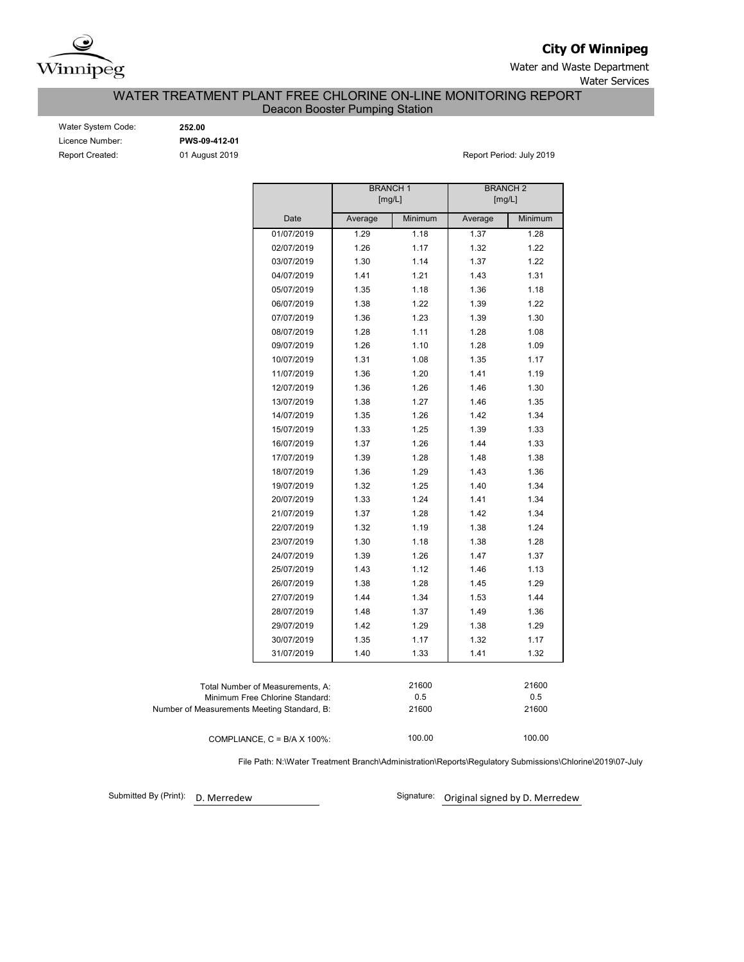

**City Of Winnipeg**

Water and Waste Department Water Services

## WATER TREATMENT PLANT FREE CHLORINE ON-LINE MONITORING REPORT Deacon Booster Pumping Station

| Water System Code: |
|--------------------|
| Licence Number:    |
| Report Created:    |

Water System Code: **252.00** Licence Number: **PWS-09-412-01**

01 August 2019 **Report Period: July 2019** 

|                                             |                                      | <b>BRANCH1</b><br>[mg/L] |         | <b>BRANCH 2</b><br>[mg/L] |         |
|---------------------------------------------|--------------------------------------|--------------------------|---------|---------------------------|---------|
|                                             | Date                                 | Average                  | Minimum | Average                   | Minimum |
|                                             | 01/07/2019                           | 1.29                     | 1.18    | 1.37                      | 1.28    |
|                                             | 02/07/2019                           | 1.26                     | 1.17    | 1.32                      | 1.22    |
|                                             | 03/07/2019                           | 1.30                     | 1.14    | 1.37                      | 1.22    |
|                                             | 04/07/2019                           | 1.41                     | 1.21    | 1.43                      | 1.31    |
|                                             | 05/07/2019                           | 1.35                     | 1.18    | 1.36                      | 1.18    |
|                                             | 06/07/2019                           | 1.38                     | 1.22    | 1.39                      | 1.22    |
|                                             | 07/07/2019                           | 1.36                     | 1.23    | 1.39                      | 1.30    |
|                                             | 08/07/2019                           | 1.28                     | 1.11    | 1.28                      | 1.08    |
|                                             | 09/07/2019                           | 1.26                     | 1.10    | 1.28                      | 1.09    |
|                                             | 10/07/2019                           | 1.31                     | 1.08    | 1.35                      | 1.17    |
|                                             | 11/07/2019                           | 1.36                     | 1.20    | 1.41                      | 1.19    |
|                                             | 12/07/2019                           | 1.36                     | 1.26    | 1.46                      | 1.30    |
|                                             | 13/07/2019                           | 1.38                     | 1.27    | 1.46                      | 1.35    |
|                                             | 14/07/2019                           | 1.35                     | 1.26    | 1.42                      | 1.34    |
|                                             | 15/07/2019                           | 1.33                     | 1.25    | 1.39                      | 1.33    |
|                                             | 16/07/2019                           | 1.37                     | 1.26    | 1.44                      | 1.33    |
|                                             | 17/07/2019                           | 1.39                     | 1.28    | 1.48                      | 1.38    |
|                                             | 18/07/2019                           | 1.36                     | 1.29    | 1.43                      | 1.36    |
|                                             | 19/07/2019                           | 1.32                     | 1.25    | 1.40                      | 1.34    |
|                                             | 20/07/2019                           | 1.33                     | 1.24    | 1.41                      | 1.34    |
|                                             | 21/07/2019                           | 1.37                     | 1.28    | 1.42                      | 1.34    |
|                                             | 22/07/2019                           | 1.32                     | 1.19    | 1.38                      | 1.24    |
|                                             | 23/07/2019                           | 1.30                     | 1.18    | 1.38                      | 1.28    |
|                                             | 24/07/2019                           | 1.39                     | 1.26    | 1.47                      | 1.37    |
|                                             | 25/07/2019                           | 1.43                     | 1.12    | 1.46                      | 1.13    |
|                                             | 26/07/2019                           | 1.38                     | 1.28    | 1.45                      | 1.29    |
|                                             | 27/07/2019                           | 1.44                     | 1.34    | 1.53                      | 1.44    |
|                                             | 28/07/2019                           | 1.48                     | 1.37    | 1.49                      | 1.36    |
|                                             | 29/07/2019                           | 1.42                     | 1.29    | 1.38                      | 1.29    |
|                                             | 30/07/2019                           | 1.35                     | 1.17    | 1.32                      | 1.17    |
|                                             | 31/07/2019                           | 1.40                     | 1.33    | 1.41                      | 1.32    |
|                                             |                                      |                          |         |                           |         |
|                                             | Total Number of Measurements, A:     |                          | 21600   |                           | 21600   |
|                                             | Minimum Free Chlorine Standard:      |                          | 0.5     |                           | 0.5     |
| Number of Measurements Meeting Standard, B: |                                      |                          | 21600   |                           | 21600   |
|                                             | COMPLIANCE, $C = B/A \times 100\%$ : |                          | 100.00  |                           | 100.00  |

File Path: N:\Water Treatment Branch\Administration\Reports\Regulatory Submissions\Chlorine\2019\07-July

Submitted By (Print): D. Merredew

Signature: Original signed by D. Merredew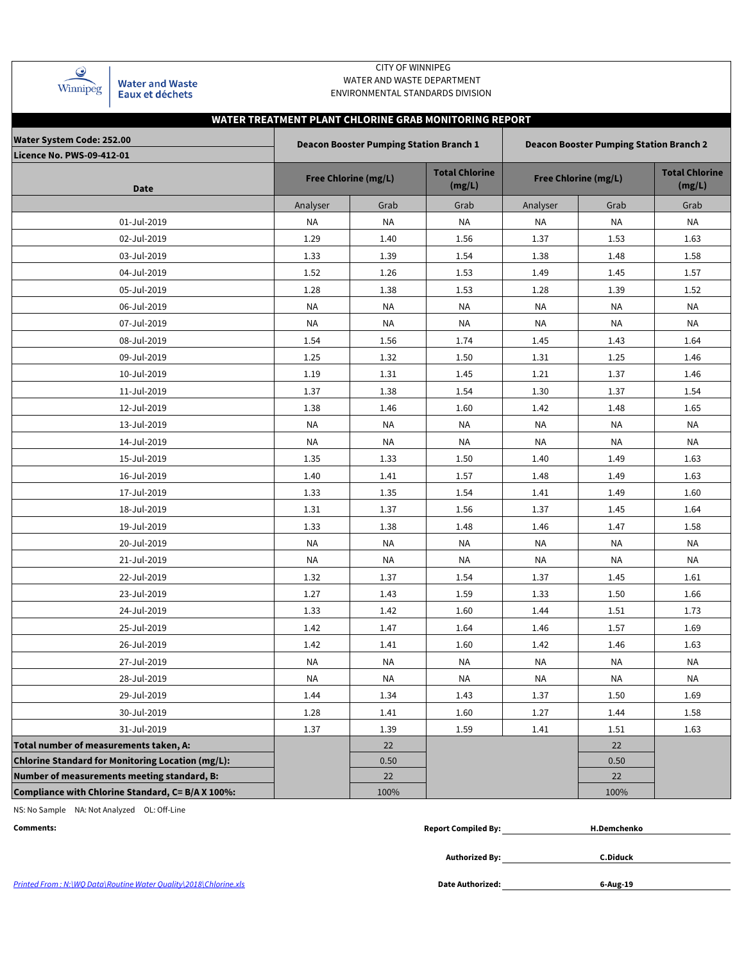| Winnipeg |  |
|----------|--|

**Water and Waste** Eaux et déchets

## CITY OF WINNIPEG WATER AND WASTE DEPARTMENT ENVIRONMENTAL STANDARDS DIVISION

# **WATER TREATMENT PLANT CHLORINE GRAB MONITORING REPORT**

| <b>Water System Code: 252.00</b><br><b>Licence No. PWS-09-412-01</b> |           | <b>Deacon Booster Pumping Station Branch 1</b> |                                 |                             | <b>Deacon Booster Pumping Station Branch 2</b> |                                 |
|----------------------------------------------------------------------|-----------|------------------------------------------------|---------------------------------|-----------------------------|------------------------------------------------|---------------------------------|
| Date                                                                 |           | <b>Free Chlorine (mg/L)</b>                    | <b>Total Chlorine</b><br>(mg/L) | <b>Free Chlorine (mg/L)</b> |                                                | <b>Total Chlorine</b><br>(mg/L) |
|                                                                      | Analyser  | Grab                                           | Grab                            | Analyser                    | Grab                                           | Grab                            |
| 01-Jul-2019                                                          | <b>NA</b> | <b>NA</b>                                      | <b>NA</b>                       | <b>NA</b>                   | <b>NA</b>                                      | <b>NA</b>                       |
| 02-Jul-2019                                                          | 1.29      | 1.40                                           | 1.56                            | 1.37                        | 1.53                                           | 1.63                            |
| 03-Jul-2019                                                          | 1.33      | 1.39                                           | 1.54                            | 1.38                        | 1.48                                           | 1.58                            |
| 04-Jul-2019                                                          | 1.52      | 1.26                                           | 1.53                            | 1.49                        | 1.45                                           | 1.57                            |
| 05-Jul-2019                                                          | 1.28      | 1.38                                           | 1.53                            | 1.28                        | 1.39                                           | 1.52                            |
| 06-Jul-2019                                                          | <b>NA</b> | NA                                             | NA                              | NA                          | <b>NA</b>                                      | <b>NA</b>                       |
| 07-Jul-2019                                                          | <b>NA</b> | ΝA                                             | NA                              | <b>NA</b>                   | ΝA                                             | <b>NA</b>                       |
| 08-Jul-2019                                                          | 1.54      | 1.56                                           | 1.74                            | 1.45                        | 1.43                                           | 1.64                            |
| 09-Jul-2019                                                          | 1.25      | 1.32                                           | 1.50                            | 1.31                        | 1.25                                           | 1.46                            |
| 10-Jul-2019                                                          | 1.19      | 1.31                                           | 1.45                            | 1.21                        | 1.37                                           | 1.46                            |
| 11-Jul-2019                                                          | 1.37      | 1.38                                           | 1.54                            | 1.30                        | 1.37                                           | 1.54                            |
| 12-Jul-2019                                                          | 1.38      | 1.46                                           | 1.60                            | 1.42                        | 1.48                                           | 1.65                            |
| 13-Jul-2019                                                          | <b>NA</b> | NA                                             | <b>NA</b>                       | NA                          | <b>NA</b>                                      | <b>NA</b>                       |
| 14-Jul-2019                                                          | <b>NA</b> | NA                                             | NA                              | NA                          | <b>NA</b>                                      | NA                              |
| 15-Jul-2019                                                          | 1.35      | 1.33                                           | 1.50                            | 1.40                        | 1.49                                           | 1.63                            |
| 16-Jul-2019                                                          | 1.40      | 1.41                                           | 1.57                            | 1.48                        | 1.49                                           | 1.63                            |
| 17-Jul-2019                                                          | 1.33      | 1.35                                           | 1.54                            | 1.41                        | 1.49                                           | 1.60                            |
| 18-Jul-2019                                                          | 1.31      | 1.37                                           | 1.56                            | 1.37                        | 1.45                                           | 1.64                            |
| 19-Jul-2019                                                          | 1.33      | 1.38                                           | 1.48                            | 1.46                        | 1.47                                           | 1.58                            |
| 20-Jul-2019                                                          | <b>NA</b> | NA                                             | NA                              | NA                          | NA                                             | <b>NA</b>                       |
| 21-Jul-2019                                                          | <b>NA</b> | ΝA                                             | NA                              | NA                          | ΝA                                             | ΝA                              |
| 22-Jul-2019                                                          | 1.32      | 1.37                                           | 1.54                            | 1.37                        | 1.45                                           | 1.61                            |
| 23-Jul-2019                                                          | 1.27      | 1.43                                           | 1.59                            | 1.33                        | 1.50                                           | 1.66                            |
| 24-Jul-2019                                                          | 1.33      | 1.42                                           | 1.60                            | 1.44                        | 1.51                                           | 1.73                            |
| 25-Jul-2019                                                          | 1.42      | 1.47                                           | 1.64                            | 1.46                        | 1.57                                           | 1.69                            |
| 26-Jul-2019                                                          | 1.42      | 1.41                                           | 1.60                            | 1.42                        | 1.46                                           | 1.63                            |
| 27-Jul-2019                                                          | NA        | ΝA                                             | <b>NA</b>                       | NA                          | ΝA                                             | <b>NA</b>                       |
| 28-Jul-2019                                                          | NA        | ΝA                                             | ΝA                              | NA                          | ΝA                                             | ΝA                              |
| 29-Jul-2019                                                          | 1.44      | 1.34                                           | 1.43                            | 1.37                        | 1.50                                           | 1.69                            |
| 30-Jul-2019                                                          | 1.28      | 1.41                                           | 1.60                            | 1.27                        | 1.44                                           | 1.58                            |
| 31-Jul-2019                                                          | 1.37      | 1.39                                           | 1.59                            | 1.41                        | 1.51                                           | 1.63                            |
| Total number of measurements taken, A:                               |           | 22                                             |                                 |                             | 22                                             |                                 |
| Chlorine Standard for Monitoring Location (mg/L):                    |           | 0.50                                           |                                 |                             | 0.50                                           |                                 |
| Number of measurements meeting standard, B:                          |           | 22                                             |                                 |                             | 22                                             |                                 |
| Compliance with Chlorine Standard, C= B/A X 100%:                    |           | 100%                                           |                                 |                             | 100%                                           |                                 |

NS: No Sample NA: Not Analyzed OL: Off-Line

| <b>Report Compiled By:</b> |
|----------------------------|
|----------------------------|

**Authorized By:**

**C.Diduck**

Printed From : N:\WQ Data\Routine Water Quality\2018\Chlorine.xls **Date Authorized: Date Authorized:** 

**6-Aug-19**